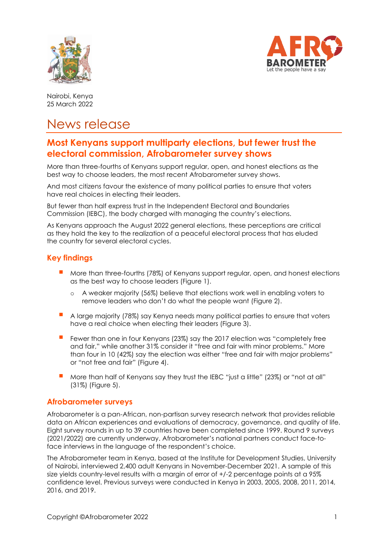



Nairobi, Kenya 25 March 2022

# News release

# **Most Kenyans support multiparty elections, but fewer trust the electoral commission, Afrobarometer survey shows**

More than three-fourths of Kenyans support regular, open, and honest elections as the best way to choose leaders, the most recent Afrobarometer survey shows.

And most citizens favour the existence of many political parties to ensure that voters have real choices in electing their leaders.

But fewer than half express trust in the Independent Electoral and Boundaries Commission (IEBC), the body charged with managing the country's elections.

As Kenyans approach the August 2022 general elections, these perceptions are critical as they hold the key to the realization of a peaceful electoral process that has eluded the country for several electoral cycles.

### **Key findings**

- More than three-fourths (78%) of Kenyans support regular, open, and honest elections as the best way to choose leaders (Figure 1).
	- o A weaker majority (56%) believe that elections work well in enabling voters to remove leaders who don't do what the people want (Figure 2).
- A large majority (78%) say Kenya needs many political parties to ensure that voters have a real choice when electing their leaders (Figure 3).
- Fewer than one in four Kenyans (23%) say the 2017 election was "completely free and fair," while another 31% consider it "free and fair with minor problems." More than four in 10 (42%) say the election was either "free and fair with major problems" or "not free and fair" (Figure 4).
- More than half of Kenyans say they trust the IEBC "just a little" (23%) or "not at all" (31%) (Figure 5).

#### **Afrobarometer surveys**

Afrobarometer is a pan-African, non-partisan survey research network that provides reliable data on African experiences and evaluations of democracy, governance, and quality of life. Eight survey rounds in up to 39 countries have been completed since 1999. Round 9 surveys (2021/2022) are currently underway. Afrobarometer's national partners conduct face-toface interviews in the language of the respondent's choice.

The Afrobarometer team in Kenya, based at the Institute for Development Studies, University of Nairobi, interviewed 2,400 adult Kenyans in November-December 2021. A sample of this size yields country-level results with a margin of error of +/-2 percentage points at a 95% confidence level. Previous surveys were conducted in Kenya in 2003, 2005, 2008, 2011, 2014, 2016, and 2019.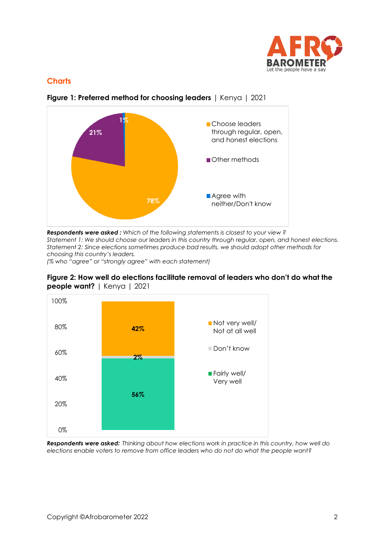

## **Charts**



**Figure 1: Preferred method for choosing leaders** | Kenya | 2021

*Respondents were asked : Which of the following statements is closest to your view ? Statement 1: We should choose our leaders in this country through regular, open, and honest elections. Statement 2: Since elections sometimes produce bad results, we should adopt other methods for choosing this country's leaders.* 

*(% who "agree" or "strongly agree" with each statement)*





*Respondents were asked: Thinking about how elections work in practice in this country, how well do elections enable voters to remove from office leaders who do not do what the people want?*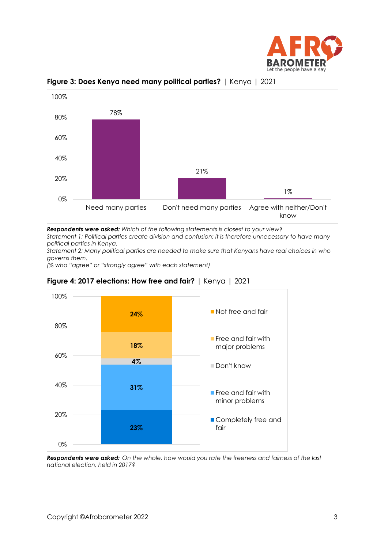



**Figure 3: Does Kenya need many political parties?** | Kenya | 2021

*Respondents were asked: Which of the following statements is closest to your view?*

*Statement 1: Political parties create division and confusion; it is therefore unnecessary to have many political parties in Kenya.* 

*Statement 2: Many political parties are needed to make sure that Kenyans have real choices in who governs them.* 

*(% who "agree" or "strongly agree" with each statement)*



**Figure 4: 2017 elections: How free and fair?** | Kenya | 2021

*Respondents were asked: On the whole, how would you rate the freeness and fairness of the last national election, held in 2017?*